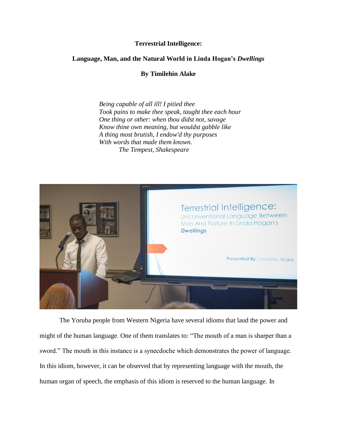## **Terrestrial Intelligence:**

## **Language, Man, and the Natural World in Linda Hogan's** *Dwellings*

**By Timilehin Alake**

*Being capable of all ill! I pitied thee Took pains to make thee speak, taught thee each hour One thing or other: when thou didst not, savage Know thine own meaning, but wouldst gabble like A thing most brutish, I endow'd thy purposes With words that made them known. The Tempest, Shakespeare*



The Yoruba people from Western Nigeria have several idioms that laud the power and might of the human language. One of them translates to: "The mouth of a man is sharper than a sword." The mouth in this instance is a synecdoche which demonstrates the power of language. In this idiom, however, it can be observed that by representing language with the mouth, the human organ of speech, the emphasis of this idiom is reserved to the human language. In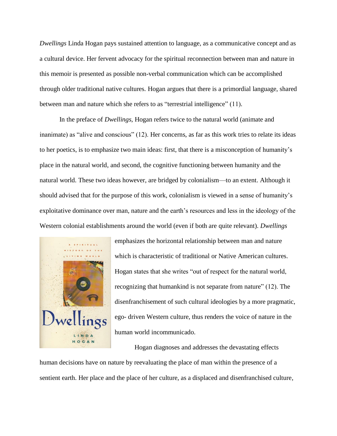*Dwellings* Linda Hogan pays sustained attention to language, as a communicative concept and as a cultural device. Her fervent advocacy for the spiritual reconnection between man and nature in this memoir is presented as possible non-verbal communication which can be accomplished through older traditional native cultures. Hogan argues that there is a primordial language, shared between man and nature which she refers to as "terrestrial intelligence" (11).

In the preface of *Dwellings*, Hogan refers twice to the natural world (animate and inanimate) as "alive and conscious" (12). Her concerns, as far as this work tries to relate its ideas to her poetics, is to emphasize two main ideas: first, that there is a misconception of humanity's place in the natural world, and second, the cognitive functioning between humanity and the natural world. These two ideas however, are bridged by colonialism—to an extent. Although it should advised that for the purpose of this work, colonialism is viewed in a sense of humanity's exploitative dominance over man, nature and the earth's resources and less in the ideology of the Western colonial establishments around the world (even if both are quite relevant). *Dwellings*



emphasizes the horizontal relationship between man and nature which is characteristic of traditional or Native American cultures. Hogan states that she writes "out of respect for the natural world, recognizing that humankind is not separate from nature" (12). The disenfranchisement of such cultural ideologies by a more pragmatic, ego- driven Western culture, thus renders the voice of nature in the human world incommunicado.

Hogan diagnoses and addresses the devastating effects

human decisions have on nature by reevaluating the place of man within the presence of a sentient earth. Her place and the place of her culture, as a displaced and disenfranchised culture,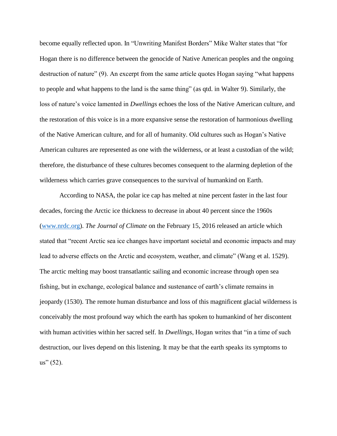become equally reflected upon. In "Unwriting Manifest Borders" Mike Walter states that "for Hogan there is no difference between the genocide of Native American peoples and the ongoing destruction of nature" (9). An excerpt from the same article quotes Hogan saying "what happens to people and what happens to the land is the same thing" (as qtd. in Walter 9). Similarly, the loss of nature's voice lamented in *Dwellings* echoes the loss of the Native American culture, and the restoration of this voice is in a more expansive sense the restoration of harmonious dwelling of the Native American culture, and for all of humanity. Old cultures such as Hogan's Native American cultures are represented as one with the wilderness, or at least a custodian of the wild; therefore, the disturbance of these cultures becomes consequent to the alarming depletion of the wilderness which carries grave consequences to the survival of humankind on Earth.

According to NASA, the polar ice cap has melted at nine percent faster in the last four decades, forcing the Arctic ice thickness to decrease in about 40 percent since the 1960s [\(www.nrdc.org\)](http://www.nrdc.org/). *The Journal of Climate* on the February 15, 2016 released an article which stated that "recent Arctic sea ice changes have important societal and economic impacts and may lead to adverse effects on the Arctic and ecosystem, weather, and climate" (Wang et al. 1529). The arctic melting may boost transatlantic sailing and economic increase through open sea fishing, but in exchange, ecological balance and sustenance of earth's climate remains in jeopardy (1530). The remote human disturbance and loss of this magnificent glacial wilderness is conceivably the most profound way which the earth has spoken to humankind of her discontent with human activities within her sacred self. In *Dwellings*, Hogan writes that "in a time of such destruction, our lives depend on this listening. It may be that the earth speaks its symptoms to  $us''(52)$ .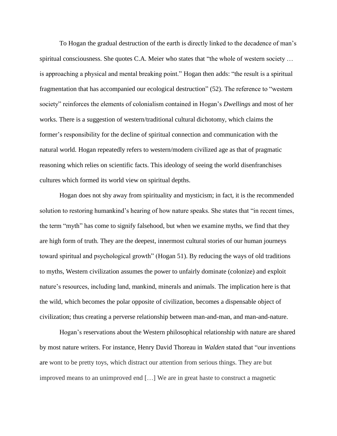To Hogan the gradual destruction of the earth is directly linked to the decadence of man's spiritual consciousness. She quotes C.A. Meier who states that "the whole of western society ... is approaching a physical and mental breaking point." Hogan then adds: "the result is a spiritual fragmentation that has accompanied our ecological destruction" (52). The reference to "western society" reinforces the elements of colonialism contained in Hogan's *Dwellings* and most of her works. There is a suggestion of western/traditional cultural dichotomy, which claims the former's responsibility for the decline of spiritual connection and communication with the natural world. Hogan repeatedly refers to western/modern civilized age as that of pragmatic reasoning which relies on scientific facts. This ideology of seeing the world disenfranchises cultures which formed its world view on spiritual depths.

Hogan does not shy away from spirituality and mysticism; in fact, it is the recommended solution to restoring humankind's hearing of how nature speaks. She states that "in recent times, the term "myth" has come to signify falsehood, but when we examine myths, we find that they are high form of truth. They are the deepest, innermost cultural stories of our human journeys toward spiritual and psychological growth" (Hogan 51). By reducing the ways of old traditions to myths, Western civilization assumes the power to unfairly dominate (colonize) and exploit nature's resources, including land, mankind, minerals and animals. The implication here is that the wild, which becomes the polar opposite of civilization, becomes a dispensable object of civilization; thus creating a perverse relationship between man-and-man, and man-and-nature.

Hogan's reservations about the Western philosophical relationship with nature are shared by most nature writers. For instance, Henry David Thoreau in *Walden* stated that "our inventions are wont to be pretty toys, which distract our attention from serious things. They are but improved means to an unimproved end […] We are in great haste to construct a magnetic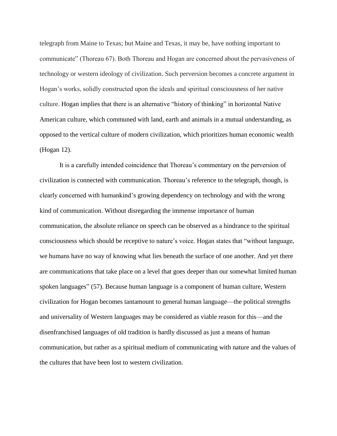telegraph from Maine to Texas; but Maine and Texas, it may be, have nothing important to communicate" (Thoreau 67). Both Thoreau and Hogan are concerned about the pervasiveness of technology or western ideology of civilization. Such perversion becomes a concrete argument in Hogan's works, solidly constructed upon the ideals and spiritual consciousness of her native culture. Hogan implies that there is an alternative "history of thinking" in horizontal Native American culture, which communed with land, earth and animals in a mutual understanding, as opposed to the vertical culture of modern civilization, which prioritizes human economic wealth (Hogan 12).

It is a carefully intended coincidence that Thoreau's commentary on the perversion of civilization is connected with communication. Thoreau's reference to the telegraph, though, is clearly concerned with humankind's growing dependency on technology and with the wrong kind of communication. Without disregarding the immense importance of human communication, the absolute reliance on speech can be observed as a hindrance to the spiritual consciousness which should be receptive to nature's voice. Hogan states that "without language, we humans have no way of knowing what lies beneath the surface of one another. And yet there are communications that take place on a level that goes deeper than our somewhat limited human spoken languages" (57). Because human language is a component of human culture, Western civilization for Hogan becomes tantamount to general human language—the political strengths and universality of Western languages may be considered as viable reason for this—and the disenfranchised languages of old tradition is hardly discussed as just a means of human communication, but rather as a spiritual medium of communicating with nature and the values of the cultures that have been lost to western civilization.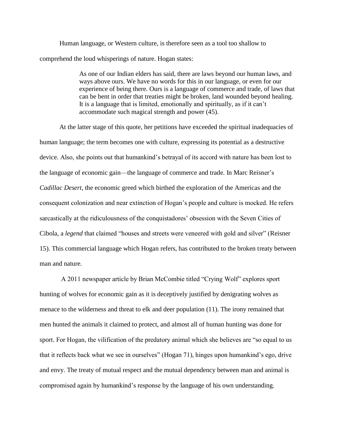Human language, or Western culture, is therefore seen as a tool too shallow to comprehend the loud whisperings of nature. Hogan states:

> As one of our Indian elders has said, there are laws beyond our human laws, and ways above ours. We have no words for this in our language, or even for our experience of being there. Ours is a language of commerce and trade, of laws that can be bent in order that treaties might be broken, land wounded beyond healing. It is a language that is limited, emotionally and spiritually, as if it can't accommodate such magical strength and power (45).

At the latter stage of this quote, her petitions have exceeded the spiritual inadequacies of human language; the term becomes one with culture, expressing its potential as a destructive device. Also, she points out that humankind's betrayal of its accord with nature has been lost to the language of economic gain—the language of commerce and trade. In Marc Reisner's *Cadillac Desert*, the economic greed which birthed the exploration of the Americas and the consequent colonization and near extinction of Hogan's people and culture is mocked. He refers sarcastically at the ridiculousness of the conquistadores' obsession with the Seven Cities of Cibola, a *legend* that claimed "houses and streets were veneered with gold and silver" (Reisner 15). This commercial language which Hogan refers, has contributed to the broken treaty between man and nature.

A 2011 newspaper article by Brian McCombie titled "Crying Wolf" explores sport hunting of wolves for economic gain as it is deceptively justified by denigrating wolves as menace to the wilderness and threat to elk and deer population (11). The irony remained that men hunted the animals it claimed to protect, and almost all of human hunting was done for sport. For Hogan, the vilification of the predatory animal which she believes are "so equal to us that it reflects back what we see in ourselves" (Hogan 71), hinges upon humankind's ego, drive and envy. The treaty of mutual respect and the mutual dependency between man and animal is compromised again by humankind's response by the language of his own understanding.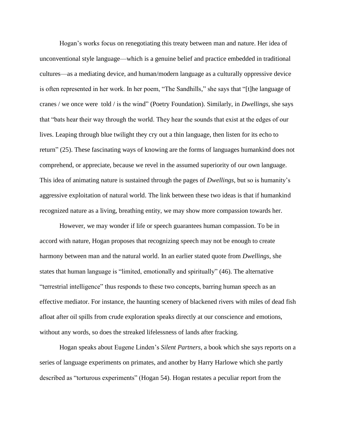Hogan's works focus on renegotiating this treaty between man and nature. Her idea of unconventional style language—which is a genuine belief and practice embedded in traditional cultures—as a mediating device, and human/modern language as a culturally oppressive device is often represented in her work. In her poem, "The Sandhills," she says that "[t]he language of cranes / we once were told / is the wind" (Poetry Foundation). Similarly, in *Dwellings,* she says that "bats hear their way through the world. They hear the sounds that exist at the edges of our lives. Leaping through blue twilight they cry out a thin language, then listen for its echo to return" (25). These fascinating ways of knowing are the forms of languages humankind does not comprehend, or appreciate, because we revel in the assumed superiority of our own language. This idea of animating nature is sustained through the pages of *Dwellings,* but so is humanity's aggressive exploitation of natural world. The link between these two ideas is that if humankind recognized nature as a living, breathing entity, we may show more compassion towards her.

However, we may wonder if life or speech guarantees human compassion. To be in accord with nature, Hogan proposes that recognizing speech may not be enough to create harmony between man and the natural world. In an earlier stated quote from *Dwellings*, she states that human language is "limited, emotionally and spiritually" (46). The alternative "terrestrial intelligence" thus responds to these two concepts, barring human speech as an effective mediator. For instance, the haunting scenery of blackened rivers with miles of dead fish afloat after oil spills from crude exploration speaks directly at our conscience and emotions, without any words, so does the streaked lifelessness of lands after fracking.

Hogan speaks about Eugene Linden's *Silent Partners*, a book which she says reports on a series of language experiments on primates, and another by Harry Harlowe which she partly described as "torturous experiments" (Hogan 54). Hogan restates a peculiar report from the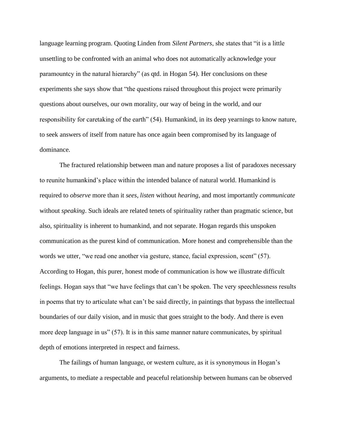language learning program. Quoting Linden from *Silent Partners*, she states that "it is a little unsettling to be confronted with an animal who does not automatically acknowledge your paramountcy in the natural hierarchy" (as qtd. in Hogan 54). Her conclusions on these experiments she says show that "the questions raised throughout this project were primarily questions about ourselves, our own morality, our way of being in the world, and our responsibility for caretaking of the earth" (54). Humankind, in its deep yearnings to know nature, to seek answers of itself from nature has once again been compromised by its language of dominance.

The fractured relationship between man and nature proposes a list of paradoxes necessary to reunite humankind's place within the intended balance of natural world. Humankind is required to *observe* more than it *sees*, *listen* without *hearing*, and most importantly *communicate* without *speaking*. Such ideals are related tenets of spirituality rather than pragmatic science, but also, spirituality is inherent to humankind, and not separate. Hogan regards this unspoken communication as the purest kind of communication. More honest and comprehensible than the words we utter, "we read one another via gesture, stance, facial expression, scent" (57). According to Hogan, this purer, honest mode of communication is how we illustrate difficult feelings. Hogan says that "we have feelings that can't be spoken. The very speechlessness results in poems that try to articulate what can't be said directly, in paintings that bypass the intellectual boundaries of our daily vision, and in music that goes straight to the body. And there is even more deep language in us" (57). It is in this same manner nature communicates, by spiritual depth of emotions interpreted in respect and fairness.

The failings of human language, or western culture, as it is synonymous in Hogan's arguments, to mediate a respectable and peaceful relationship between humans can be observed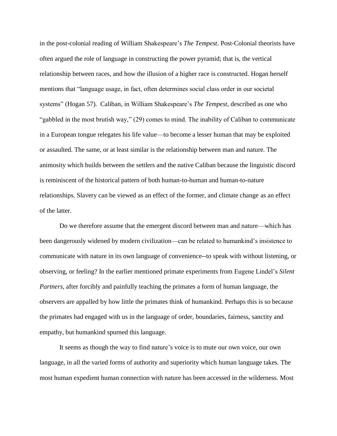in the post-colonial reading of William Shakespeare's *The Tempest*. Post-Colonial theorists have often argued the role of language in constructing the power pyramid; that is, the vertical relationship between races, and how the illusion of a higher race is constructed. Hogan herself mentions that "language usage, in fact, often determines social class order in our societal systems" (Hogan 57). Caliban, in William Shakespeare's *The Tempest*, described as one who "gabbled in the most brutish way," (29) comes to mind. The inability of Caliban to communicate in a European tongue relegates his life value—to become a lesser human that may be exploited or assaulted. The same, or at least similar is the relationship between man and nature. The animosity which builds between the settlers and the native Caliban because the linguistic discord is reminiscent of the historical pattern of both human-to-human and human-to-nature relationships. Slavery can be viewed as an effect of the former, and climate change as an effect of the latter.

Do we therefore assume that the emergent discord between man and nature—which has been dangerously widened by modern civilization—can be related to humankind's insistence to communicate with nature in its own language of convenience--to speak with without listening, or observing, or feeling? In the earlier mentioned primate experiments from Eugene Lindel's *Silent Partners,* after forcibly and painfully teaching the primates a form of human language, the observers are appalled by how little the primates think of humankind. Perhaps this is so because the primates had engaged with us in the language of order, boundaries, fairness, sanctity and empathy, but humankind spurned this language.

It seems as though the way to find nature's voice is to mute our own voice, our own language, in all the varied forms of authority and superiority which human language takes. The most human expedient human connection with nature has been accessed in the wilderness. Most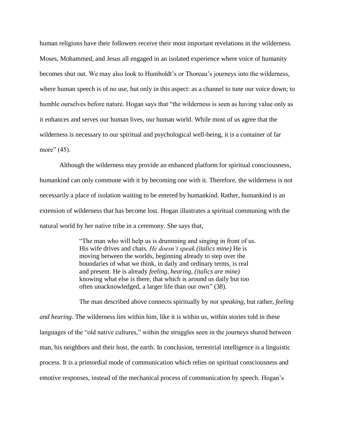human religions have their followers receive their most important revelations in the wilderness. Moses, Mohammed, and Jesus all engaged in an isolated experience where voice of humanity becomes shut out. We may also look to Humboldt's or Thoreau's journeys into the wilderness, where human speech is of no use, but only in this aspect: as a channel to tune our voice down; to humble ourselves before nature. Hogan says that "the wilderness is seen as having value only as it enhances and serves our human lives, our human world. While most of us agree that the wilderness is necessary to our spiritual and psychological well-being, it is a container of far more" (45).

Although the wilderness may provide an enhanced platform for spiritual consciousness, humankind can only commune with it by becoming one with it. Therefore, the wilderness is not necessarily a place of isolation waiting to be entered by humankind. Rather, humankind is an extension of wilderness that has become lost. Hogan illustrates a spiritual communing with the natural world by her native tribe in a ceremony. She says that,

> "The man who will help us is drumming and singing in front of us. His wife drives and chats. *He doesn't speak.(italics mine)* He is moving between the worlds, beginning already to step over the boundaries of what we think, in daily and ordinary terms, is real and present. He is already *feeling, hearing, (italics are mine)* knowing what else is there, that which is around us daily but too often unacknowledged, a larger life than our own" (38).

The man described above connects spiritually by *not speaking*, but rather, *feeling and hearing.* The wilderness lies within him, like it is within us, within stories told in these languages of the "old native cultures," within the struggles seen in the journeys shared between man, his neighbors and their host, the earth. In conclusion, terrestrial intelligence is a linguistic process. It is a primordial mode of communication which relies on spiritual consciousness and emotive responses, instead of the mechanical process of communication by speech. Hogan's